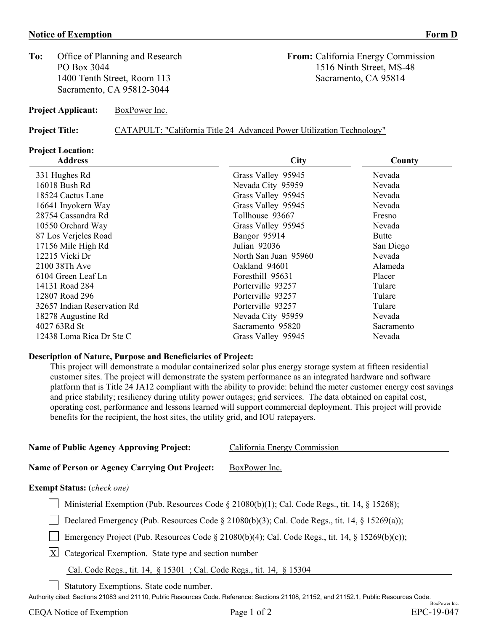#### **Notice of Exemption Form D**

**To:** Office of Planning and Research **From:** California Energy Commission 1400 Tenth Street, Room 113 Sacramento, CA 95814 Sacramento, CA 95812-3044

**Project Applicant:** BoxPower Inc.

**Project Title:** CATAPULT: "California Title 24 Advanced Power Utilization Technology"

# **Project Location:**

| <b>Address</b>              | <b>City</b>          | County     |  |
|-----------------------------|----------------------|------------|--|
| 331 Hughes Rd               | Grass Valley 95945   | Nevada     |  |
| 16018 Bush Rd               | Nevada City 95959    | Nevada     |  |
| 18524 Cactus Lane           | Grass Valley 95945   | Nevada     |  |
| 16641 Inyokern Way          | Grass Valley 95945   | Nevada     |  |
| 28754 Cassandra Rd          | Tollhouse 93667      | Fresno     |  |
| 10550 Orchard Way           | Grass Valley 95945   | Nevada     |  |
| 87 Los Verjeles Road        | Bangor 95914         | Butte      |  |
| 17156 Mile High Rd          | Julian 92036         | San Diego  |  |
| 12215 Vicki Dr              | North San Juan 95960 | Nevada     |  |
| 2100 38Th Ave               | Oakland 94601        | Alameda    |  |
| 6104 Green Leaf Ln          | Foresthill 95631     | Placer     |  |
| 14131 Road 284              | Porterville 93257    | Tulare     |  |
| 12807 Road 296              | Porterville 93257    | Tulare     |  |
| 32657 Indian Reservation Rd | Porterville 93257    | Tulare     |  |
| 18278 Augustine Rd          | Nevada City 95959    | Nevada     |  |
| 4027 63Rd St                | Sacramento 95820     | Sacramento |  |
| 12438 Loma Rica Dr Ste C    | Grass Valley 95945   | Nevada     |  |

#### **Description of Nature, Purpose and Beneficiaries of Project:**

This project will demonstrate a modular containerized solar plus energy storage system at fifteen residential customer sites. The project will demonstrate the system performance as an integrated hardware and software platform that is Title 24 JA12 compliant with the ability to provide: behind the meter customer energy cost savings and price stability; resiliency during utility power outages; grid services. The data obtained on capital cost, operating cost, performance and lessons learned will support commercial deployment. This project will provide benefits for the recipient, the host sites, the utility grid, and IOU ratepayers.

| <b>Name of Public Agency Approving Project:</b> | California Energy Commission |  |  |
|-------------------------------------------------|------------------------------|--|--|
|                                                 |                              |  |  |
| Name of Person or Agency Carrying Out Project:  | BoxPower Inc.                |  |  |

## **Exempt Status:** (*check one)*

| Ministerial Exemption (Pub. Resources Code § 21080(b)(1); Cal. Code Regs., tit. 14, § 15268); |  |  |
|-----------------------------------------------------------------------------------------------|--|--|
|                                                                                               |  |  |

Declared Emergency (Pub. Resources Code § 21080(b)(3); Cal. Code Regs., tit. 14, § 15269(a));

Emergency Project (Pub. Resources Code § 21080(b)(4); Cal. Code Regs., tit. 14, § 15269(b)(c));

 $X$  Categorical Exemption. State type and section number

## Cal. Code Regs., tit. 14, § 15301 ; Cal. Code Regs., tit. 14, § 15304

Statutory Exemptions. State code number.

Authority cited: Sections 21083 and 21110, Public Resources Code. Reference: Sections 21108, 21152, and 21152.1, Public Resources Code.

PO Box 3044 1516 Ninth Street, MS-48